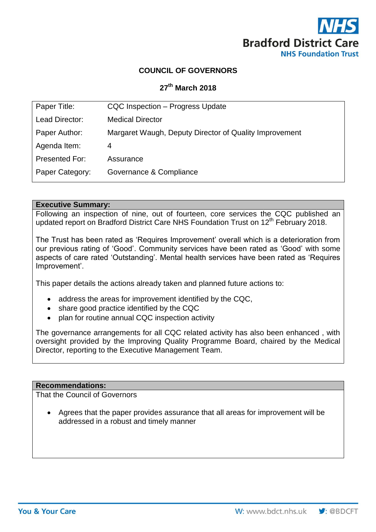

# **COUNCIL OF GOVERNORS**

# **27 th March 2018**

| Paper Title:    | CQC Inspection - Progress Update                       |
|-----------------|--------------------------------------------------------|
| Lead Director:  | <b>Medical Director</b>                                |
| Paper Author:   | Margaret Waugh, Deputy Director of Quality Improvement |
| Agenda Item:    | 4                                                      |
| Presented For:  | Assurance                                              |
| Paper Category: | Governance & Compliance                                |
|                 |                                                        |

#### **Executive Summary:**

Following an inspection of nine, out of fourteen, core services the CQC published an updated report on Bradford District Care NHS Foundation Trust on 12<sup>th</sup> February 2018.

The Trust has been rated as 'Requires Improvement' overall which is a deterioration from our previous rating of 'Good'. Community services have been rated as 'Good' with some aspects of care rated 'Outstanding'. Mental health services have been rated as 'Requires Improvement'.

This paper details the actions already taken and planned future actions to:

- address the areas for improvement identified by the CQC,
- share good practice identified by the CQC
- plan for routine annual CQC inspection activity

The governance arrangements for all CQC related activity has also been enhanced , with oversight provided by the Improving Quality Programme Board, chaired by the Medical Director, reporting to the Executive Management Team.

# **Recommendations:**

That the Council of Governors

 Agrees that the paper provides assurance that all areas for improvement will be addressed in a robust and timely manner

 $\vee$ : @BDCFT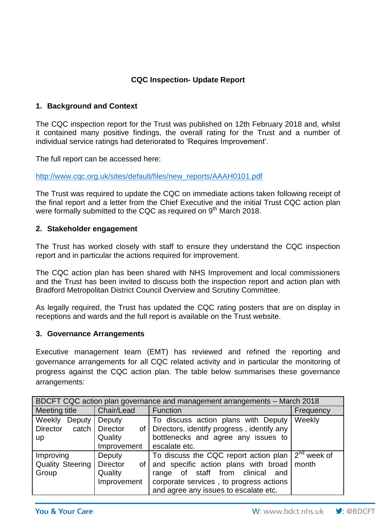# **CQC Inspection- Update Report**

# **1. Background and Context**

The CQC inspection report for the Trust was published on 12th February 2018 and, whilst it contained many positive findings, the overall rating for the Trust and a number of individual service ratings had deteriorated to 'Requires Improvement'.

The full report can be accessed here:

[http://www.cqc.org.uk/sites/default/files/new\\_reports/AAAH0101.pdf](http://www.cqc.org.uk/sites/default/files/new_reports/AAAH0101.pdf)

The Trust was required to update the CQC on immediate actions taken following receipt of the final report and a letter from the Chief Executive and the initial Trust CQC action plan were formally submitted to the CQC as required on 9<sup>th</sup> March 2018.

### **2. Stakeholder engagement**

The Trust has worked closely with staff to ensure they understand the CQC inspection report and in particular the actions required for improvement.

The CQC action plan has been shared with NHS Improvement and local commissioners and the Trust has been invited to discuss both the inspection report and action plan with Bradford Metropolitan District Council Overview and Scrutiny Committee.

As legally required, the Trust has updated the CQC rating posters that are on display in receptions and wards and the full report is available on the Trust website.

#### **3. Governance Arrangements**

Executive management team (EMT) has reviewed and refined the reporting and governance arrangements for all CQC related activity and in particular the monitoring of progress against the CQC action plan. The table below summarises these governance arrangements:

| BDCFT CQC action plan governance and management arrangements - March 2018 |                                                                  |                                                                                                                                                                                                                  |               |  |  |
|---------------------------------------------------------------------------|------------------------------------------------------------------|------------------------------------------------------------------------------------------------------------------------------------------------------------------------------------------------------------------|---------------|--|--|
| Meeting title                                                             | Chair/Lead                                                       | Function                                                                                                                                                                                                         | Frequency     |  |  |
| <b>Weekly</b><br>Deputy<br>Director<br>catch<br><b>up</b>                 | Deputy<br><b>Director</b><br>of I<br>Quality<br>Improvement      | To discuss action plans with Deputy<br>Directors, identify progress, identify any<br>bottlenecks and agree any issues to<br>escalate etc.                                                                        | Weekly        |  |  |
| Improving<br><b>Quality Steering</b><br>Group                             | <b>Deputy</b><br><b>Director</b><br>οf<br>Quality<br>Improvement | To discuss the CQC report action plan<br>and specific action plans with broad   month<br>range of staff from clinical<br>and<br>corporate services, to progress actions<br>and agree any issues to escalate etc. | $2nd$ week of |  |  |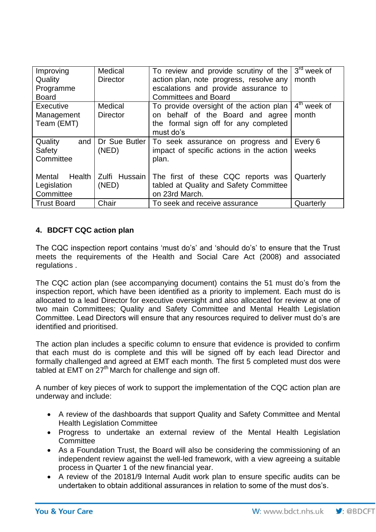| Improving          | Medical         | To review and provide scrutiny of the    | $3rd$ week of |
|--------------------|-----------------|------------------------------------------|---------------|
| Quality            | <b>Director</b> | action plan, note progress, resolve any  | month         |
| Programme          |                 | escalations and provide assurance to     |               |
| <b>Board</b>       |                 | <b>Committees and Board</b>              |               |
| <b>Executive</b>   | Medical         | To provide oversight of the action plan  | $4th$ week of |
| Management         | <b>Director</b> | on behalf of the Board and agree         | month         |
| Team (EMT)         |                 | the formal sign off for any completed    |               |
|                    |                 | must do's                                |               |
| Quality<br>and     |                 |                                          |               |
|                    | Dr Sue Butler   | To seek assurance on progress and        | Every 6       |
| Safety             | (NED)           | impact of specific actions in the action | weeks         |
| Committee          |                 | plan.                                    |               |
|                    |                 |                                          |               |
| Health I<br>Mental | Zulfi Hussain I | The first of these CQC reports was       | Quarterly     |
| Legislation        | (NED)           | tabled at Quality and Safety Committee   |               |
| Committee          |                 | on 23rd March.                           |               |

# **4. BDCFT CQC action plan**

The CQC inspection report contains 'must do's' and 'should do's' to ensure that the Trust meets the requirements of the Health and Social Care Act (2008) and associated regulations .

The CQC action plan (see accompanying document) contains the 51 must do's from the inspection report, which have been identified as a priority to implement. Each must do is allocated to a lead Director for executive oversight and also allocated for review at one of two main Committees; Quality and Safety Committee and Mental Health Legislation Committee. Lead Directors will ensure that any resources required to deliver must do's are identified and prioritised.

The action plan includes a specific column to ensure that evidence is provided to confirm that each must do is complete and this will be signed off by each lead Director and formally challenged and agreed at EMT each month. The first 5 completed must dos were tabled at EMT on  $27<sup>th</sup>$  March for challenge and sign off.

A number of key pieces of work to support the implementation of the CQC action plan are underway and include:

- A review of the dashboards that support Quality and Safety Committee and Mental Health Legislation Committee
- Progress to undertake an external review of the Mental Health Legislation **Committee**
- As a Foundation Trust, the Board will also be considering the commissioning of an independent review against the well-led framework, with a view agreeing a suitable process in Quarter 1 of the new financial year.
- A review of the 20181/9 Internal Audit work plan to ensure specific audits can be undertaken to obtain additional assurances in relation to some of the must dos's.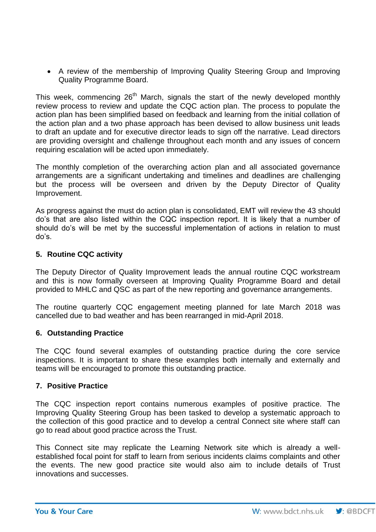• A review of the membership of Improving Quality Steering Group and Improving Quality Programme Board.

This week, commencing 26<sup>th</sup> March, signals the start of the newly developed monthly review process to review and update the CQC action plan. The process to populate the action plan has been simplified based on feedback and learning from the initial collation of the action plan and a two phase approach has been devised to allow business unit leads to draft an update and for executive director leads to sign off the narrative. Lead directors are providing oversight and challenge throughout each month and any issues of concern requiring escalation will be acted upon immediately.

The monthly completion of the overarching action plan and all associated governance arrangements are a significant undertaking and timelines and deadlines are challenging but the process will be overseen and driven by the Deputy Director of Quality Improvement.

As progress against the must do action plan is consolidated, EMT will review the 43 should do's that are also listed within the CQC inspection report. It is likely that a number of should do's will be met by the successful implementation of actions in relation to must do's.

# **5. Routine CQC activity**

The Deputy Director of Quality Improvement leads the annual routine CQC workstream and this is now formally overseen at Improving Quality Programme Board and detail provided to MHLC and QSC as part of the new reporting and governance arrangements.

The routine quarterly CQC engagement meeting planned for late March 2018 was cancelled due to bad weather and has been rearranged in mid-April 2018.

### **6. Outstanding Practice**

The CQC found several examples of outstanding practice during the core service inspections. It is important to share these examples both internally and externally and teams will be encouraged to promote this outstanding practice.

### **7. Positive Practice**

The CQC inspection report contains numerous examples of positive practice. The Improving Quality Steering Group has been tasked to develop a systematic approach to the collection of this good practice and to develop a central Connect site where staff can go to read about good practice across the Trust.

This Connect site may replicate the Learning Network site which is already a wellestablished focal point for staff to learn from serious incidents claims complaints and other the events. The new good practice site would also aim to include details of Trust innovations and successes.